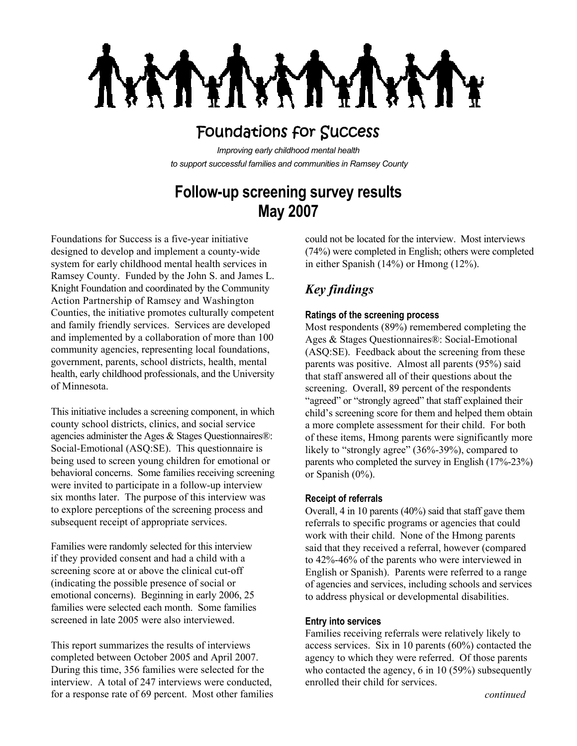# Foundations for Success

*Improving early childhood mental health to support successful families and communities in Ramsey County*

## **Follow-up screening survey results May 2007**

Foundations for Success is a five-year initiative designed to develop and implement a county-wide system for early childhood mental health services in Ramsey County. Funded by the John S. and James L. Knight Foundation and coordinated by the Community Action Partnership of Ramsey and Washington Counties, the initiative promotes culturally competent and family friendly services. Services are developed and implemented by a collaboration of more than 100 community agencies, representing local foundations, government, parents, school districts, health, mental health, early childhood professionals, and the University of Minnesota.

This initiative includes a screening component, in which county school districts, clinics, and social service agencies administer the Ages & Stages Questionnaires®: Social-Emotional (ASQ:SE). This questionnaire is being used to screen young children for emotional or behavioral concerns. Some families receiving screening were invited to participate in a follow-up interview six months later. The purpose of this interview was to explore perceptions of the screening process and subsequent receipt of appropriate services.

Families were randomly selected for this interview if they provided consent and had a child with a screening score at or above the clinical cut-off (indicating the possible presence of social or emotional concerns). Beginning in early 2006, 25 families were selected each month. Some families screened in late 2005 were also interviewed.

This report summarizes the results of interviews completed between October 2005 and April 2007. During this time, 356 families were selected for the interview. A total of 247 interviews were conducted, for a response rate of 69 percent. Most other families could not be located for the interview. Most interviews (74%) were completed in English; others were completed in either Spanish (14%) or Hmong (12%).

### *Key findings*

#### **Ratings of the screening process**

Most respondents (89%) remembered completing the Ages & Stages Questionnaires®: Social-Emotional (ASQ:SE). Feedback about the screening from these parents was positive. Almost all parents (95%) said that staff answered all of their questions about the screening. Overall, 89 percent of the respondents "agreed" or "strongly agreed" that staff explained their child's screening score for them and helped them obtain a more complete assessment for their child. For both of these items, Hmong parents were significantly more likely to "strongly agree" (36%-39%), compared to parents who completed the survey in English (17%-23%) or Spanish (0%).

#### **Receipt of referrals**

Overall, 4 in 10 parents (40%) said that staff gave them referrals to specific programs or agencies that could work with their child. None of the Hmong parents said that they received a referral, however (compared to 42%-46% of the parents who were interviewed in English or Spanish). Parents were referred to a range of agencies and services, including schools and services to address physical or developmental disabilities.

#### **Entry into services**

Families receiving referrals were relatively likely to access services. Six in 10 parents (60%) contacted the agency to which they were referred. Of those parents who contacted the agency, 6 in 10 (59%) subsequently enrolled their child for services.